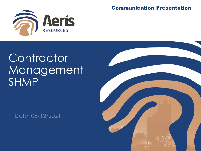

#### Communication Presentation

# **Contractor** Management SHMP

Date: 08/12/2021

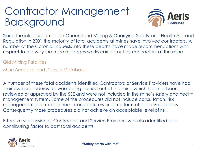### Contractor Management Background



Since the introduction of the Queensland Mining & Quarrying Safety and Health Act and Regulation in 2001 the majority of fatal accidents at mines have involved contractors. A number of the Coronial Inquests into these deaths have made recommendations with respect to the way the mine manages works carried out by contractors at the mine.

#### [Qld Mining Fatalities](https://www.dnrme.qld.gov.au/__data/assets/excel_doc/0014/240260/fatalities-queensland-mining-industry-1877-present.xls)

[Mine Accident and Disaster Database](http://www.mineaccidents.com.au/mine-events/accident/au-qld)

A number of these fatal accidents identified Contractors or Service Providers have had their own procedures for work being carried out at the mine which had not been reviewed or approved by the SSE and were not included in the mine's safety and health management system. Some of the procedures did not include consultation, risk management, information from manufacturers or some form of approval process. Consequently those procedures did not achieve an acceptable level of risk.

Effective supervision of Contractors and Service Providers was also identified as a contributing factor to past fatal accidents.

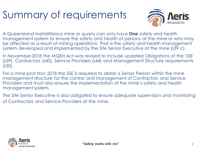## Summary of requirements



A Queensland metalliferous mine or quarry can only have **One** safety and health management system to ensure the safety and health of persons at the mine or who may be affected as a result of mining operations. That is the safety and health management system developed and implemented by the Site Senior Executive of the mine (s39 c).

In November 2018 the MQSH Act was revised to include updated Obligations of the: SSE (s39), Contractors (s40), Service Providers (s44) and Management Structure requirements (s50).

For a mine post Nov 2018 the SSE is required to detail a Senior Person within the mine management structure for the control and management of Contractors and Service Providers and must also ensure the implementation of the mine's safety and health management system.

The Site Senior Executive is also obligated to ensure adequate supervision and monitoring of Contractors and Service Providers at the mine.

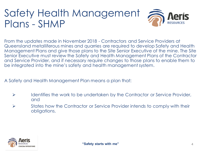# Safety Health Management 2016 Plans - SHMP

From the updates made in November 2018 - Contractors and Service Providers at Queensland metalliferous mines and quarries are required to develop Safety and Health Management Plans and give those plans to the Site Senior Executive of the mine. The Site Senior Executive must review the Safety and Health Management Plans of the Contractor and Service Provider, and if necessary require changes to those plans to enable them to be integrated into the mine's safety and health management system.

A Safety and Health Management Plan means a plan that:

- ➢ Identifies the work to be undertaken by the Contractor or Service Provider, and
- ➢ States how the Contractor or Service Provider intends to comply with their obligations.

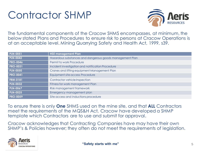### Contractor SHMP



The fundamental components of the Cracow SHMS encompasses, at minimum, the below stated Plans and Procedures to ensure risk to persons at Cracow Operations is at an acceptable level. Mining Quarrying Safety and Health Act, 1999, s39.

| <b>PLN-0051</b> | <b>HSE management Plan</b>                               |  |  |  |
|-----------------|----------------------------------------------------------|--|--|--|
| <b>PLN-0042</b> | Hazardous substances and dangerous goods management Plan |  |  |  |
| <b>PRO-0046</b> | Permit to work Procedure                                 |  |  |  |
| <b>PRO-0031</b> | Incident investigation and notification Procedure        |  |  |  |
| <b>PLN-0050</b> | Cranes and lifting equipment Management Plan             |  |  |  |
| <b>PRO-0041</b> | Equipment site access Procedure                          |  |  |  |
| <b>FRM-0181</b> | Contractor vehicle Inspection                            |  |  |  |
| <b>PLN-0032</b> | Fitness for work management Plan                         |  |  |  |
| <b>PLN-0067</b> | Risk management framework                                |  |  |  |
| <b>PLN-0025</b> | Emergency management plan                                |  |  |  |
| <b>PRO-0059</b> | Site access and inductions procedure                     |  |  |  |

To ensure there is only **One** SHMS used on the mine site, and that **ALL** Contractors meet the requirements of the MQS&H Act, Cracow have developed a SHMP template which Contractors are to use and submit for approval.

Cracow acknowledges that Contracting Companies have may have their own SHMP's & Policies however; they often do not meet the requirements of legislation.